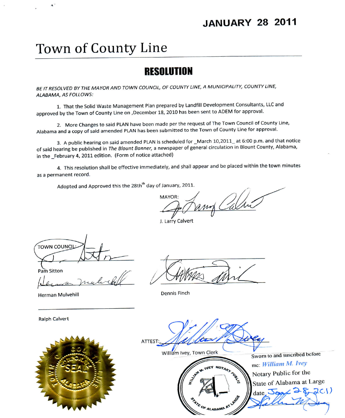### **JANUARY 28 2011**

# Town of County Line

## **RESOLUTION**

BE IT RESOLVED BY THE MAYOR AND TOWN COUNCIL, OF COUNTY LINE, A MUNICIPALITY, COUNTY LINE, ALABAMA, AS FOLLOWS:

1. That the Solid Waste Management Plan prepared by Landfill Development Consultants, LLC and approved by the Town of County Line on , December 18, 2010 has been sent to ADEM for approval.

2. More Changes to said PLAN have been made per the request of The Town Council of County Line, Alabama and a copy of said amended PLAN has been submitted to the Town of County Line for approval.

3. A public hearing on said amended PLAN is scheduled for \_March 10,2011\_at 6:00 p.m. and that notice of said hearing be published in The Blount Banner, a newspaper of general circulation in Blount County, Alabama, in the February 4, 2011 edition. (Form of notice attached)

4. This resolution shall be effective immediately, and shall appear and be placed within the town minutes as a permanent record.

Adopted and Approved this the 28th<sup>th</sup> day of January, 2011.

MAYOR: un Cal

J. Larry Calvert

**TOWN COUNCIL** 

Pam Sitton

 $\lambda$ 

Herman Mulvehill

**Dennis Finch** 

**Ralph Calvert** 



ATTEST: William Ivey, Town Clerk Sworn to and suscribed before IVEY NOTARY SERVICE me: William M. Ivey Notary Public for the State of Alabama at Large 2CI)  $date$ ,  $Je$  $\overline{d}$ **97E OF ALABAMA AT**